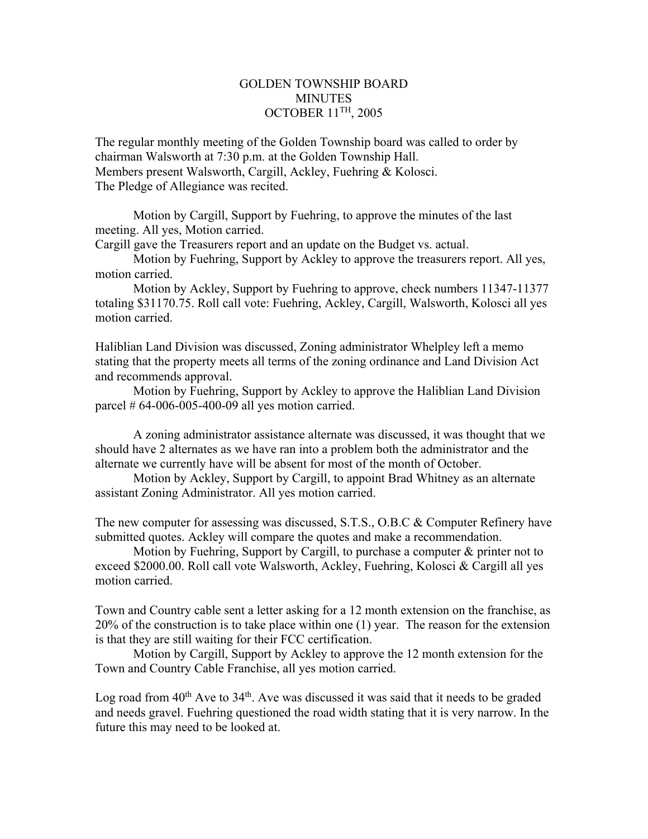## GOLDEN TOWNSHIP BOARD **MINUTES** OCTOBER 11TH, 2005

The regular monthly meeting of the Golden Township board was called to order by chairman Walsworth at 7:30 p.m. at the Golden Township Hall. Members present Walsworth, Cargill, Ackley, Fuehring & Kolosci. The Pledge of Allegiance was recited.

 Motion by Cargill, Support by Fuehring, to approve the minutes of the last meeting. All yes, Motion carried.

Cargill gave the Treasurers report and an update on the Budget vs. actual.

Motion by Fuehring, Support by Ackley to approve the treasurers report. All yes, motion carried.

Motion by Ackley, Support by Fuehring to approve, check numbers 11347-11377 totaling \$31170.75. Roll call vote: Fuehring, Ackley, Cargill, Walsworth, Kolosci all yes motion carried.

Haliblian Land Division was discussed, Zoning administrator Whelpley left a memo stating that the property meets all terms of the zoning ordinance and Land Division Act and recommends approval.

 Motion by Fuehring, Support by Ackley to approve the Haliblian Land Division parcel # 64-006-005-400-09 all yes motion carried.

 A zoning administrator assistance alternate was discussed, it was thought that we should have 2 alternates as we have ran into a problem both the administrator and the alternate we currently have will be absent for most of the month of October.

 Motion by Ackley, Support by Cargill, to appoint Brad Whitney as an alternate assistant Zoning Administrator. All yes motion carried.

The new computer for assessing was discussed, S.T.S., O.B.C & Computer Refinery have submitted quotes. Ackley will compare the quotes and make a recommendation.

 Motion by Fuehring, Support by Cargill, to purchase a computer & printer not to exceed \$2000.00. Roll call vote Walsworth, Ackley, Fuehring, Kolosci & Cargill all yes motion carried.

Town and Country cable sent a letter asking for a 12 month extension on the franchise, as 20% of the construction is to take place within one (1) year. The reason for the extension is that they are still waiting for their FCC certification.

 Motion by Cargill, Support by Ackley to approve the 12 month extension for the Town and Country Cable Franchise, all yes motion carried.

Log road from  $40^{th}$  Ave to  $34^{th}$ . Ave was discussed it was said that it needs to be graded and needs gravel. Fuehring questioned the road width stating that it is very narrow. In the future this may need to be looked at.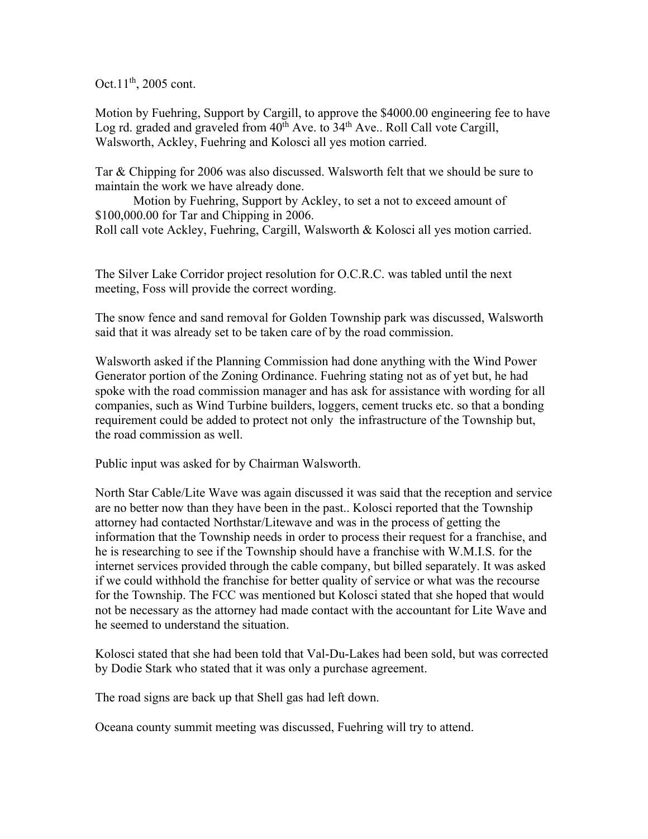Oct. $11^{th}$ , 2005 cont.

Motion by Fuehring, Support by Cargill, to approve the \$4000.00 engineering fee to have Log rd. graded and graveled from  $40^{th}$  Ave. to  $34^{th}$  Ave.. Roll Call vote Cargill, Walsworth, Ackley, Fuehring and Kolosci all yes motion carried.

Tar & Chipping for 2006 was also discussed. Walsworth felt that we should be sure to maintain the work we have already done.

 Motion by Fuehring, Support by Ackley, to set a not to exceed amount of \$100,000.00 for Tar and Chipping in 2006. Roll call vote Ackley, Fuehring, Cargill, Walsworth & Kolosci all yes motion carried.

The Silver Lake Corridor project resolution for O.C.R.C. was tabled until the next meeting, Foss will provide the correct wording.

The snow fence and sand removal for Golden Township park was discussed, Walsworth said that it was already set to be taken care of by the road commission.

Walsworth asked if the Planning Commission had done anything with the Wind Power Generator portion of the Zoning Ordinance. Fuehring stating not as of yet but, he had spoke with the road commission manager and has ask for assistance with wording for all companies, such as Wind Turbine builders, loggers, cement trucks etc. so that a bonding requirement could be added to protect not only the infrastructure of the Township but, the road commission as well.

Public input was asked for by Chairman Walsworth.

North Star Cable/Lite Wave was again discussed it was said that the reception and service are no better now than they have been in the past.. Kolosci reported that the Township attorney had contacted Northstar/Litewave and was in the process of getting the information that the Township needs in order to process their request for a franchise, and he is researching to see if the Township should have a franchise with W.M.I.S. for the internet services provided through the cable company, but billed separately. It was asked if we could withhold the franchise for better quality of service or what was the recourse for the Township. The FCC was mentioned but Kolosci stated that she hoped that would not be necessary as the attorney had made contact with the accountant for Lite Wave and he seemed to understand the situation.

Kolosci stated that she had been told that Val-Du-Lakes had been sold, but was corrected by Dodie Stark who stated that it was only a purchase agreement.

The road signs are back up that Shell gas had left down.

Oceana county summit meeting was discussed, Fuehring will try to attend.